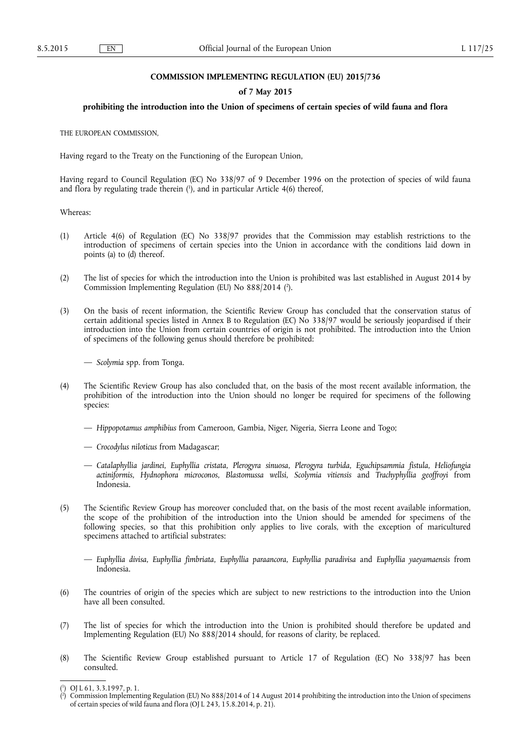### **COMMISSION IMPLEMENTING REGULATION (EU) 2015/736**

## **of 7 May 2015**

## **prohibiting the introduction into the Union of specimens of certain species of wild fauna and flora**

THE EUROPEAN COMMISSION,

Having regard to the Treaty on the Functioning of the European Union,

Having regard to Council Regulation (EC) No 338/97 of 9 December 1996 on the protection of species of wild fauna and flora by regulating trade therein ( 1 ), and in particular Article 4(6) thereof,

Whereas:

- (1) Article 4(6) of Regulation (EC) No 338/97 provides that the Commission may establish restrictions to the introduction of specimens of certain species into the Union in accordance with the conditions laid down in points (a) to (d) thereof.
- (2) The list of species for which the introduction into the Union is prohibited was last established in August 2014 by Commission Implementing Regulation (EU) No 888/2014 ( 2 ).
- (3) On the basis of recent information, the Scientific Review Group has concluded that the conservation status of certain additional species listed in Annex B to Regulation (EC) No 338/97 would be seriously jeopardised if their introduction into the Union from certain countries of origin is not prohibited. The introduction into the Union of specimens of the following genus should therefore be prohibited:

— *Scolymia* spp. from Tonga.

- (4) The Scientific Review Group has also concluded that, on the basis of the most recent available information, the prohibition of the introduction into the Union should no longer be required for specimens of the following species:
	- *Hippopotamus amphibius* from Cameroon, Gambia, Niger, Nigeria, Sierra Leone and Togo;
	- *Crocodylus niloticus* from Madagascar;
	- *Catalaphyllia jardinei*, *Euphyllia cristata*, *Plerogyra sinuosa*, *Plerogyra turbida*, *Eguchipsammia fistula*, *Heliofungia actiniformis*, *Hydnophora microconos*, *Blastomussa wellsi*, *Scolymia vitiensis* and *Trachyphyllia geoffroyi* from Indonesia.
- (5) The Scientific Review Group has moreover concluded that, on the basis of the most recent available information, the scope of the prohibition of the introduction into the Union should be amended for specimens of the following species, so that this prohibition only applies to live corals, with the exception of maricultured specimens attached to artificial substrates:
	- *Euphyllia divisa*, *Euphyllia fimbriata*, *Euphyllia paraancora*, *Euphyllia paradivisa* and *Euphyllia yaeyamaensis* from Indonesia.
- (6) The countries of origin of the species which are subject to new restrictions to the introduction into the Union have all been consulted.
- (7) The list of species for which the introduction into the Union is prohibited should therefore be updated and Implementing Regulation (EU) No 888/2014 should, for reasons of clarity, be replaced.
- (8) The Scientific Review Group established pursuant to Article 17 of Regulation (EC) No 338/97 has been consulted.

<sup>(</sup> 1 ) OJ L 61, 3.3.1997, p. 1.

<sup>(</sup> 2 ) Commission Implementing Regulation (EU) No 888/2014 of 14 August 2014 prohibiting the introduction into the Union of specimens of certain species of wild fauna and flora (OJ L 243, 15.8.2014, p. 21).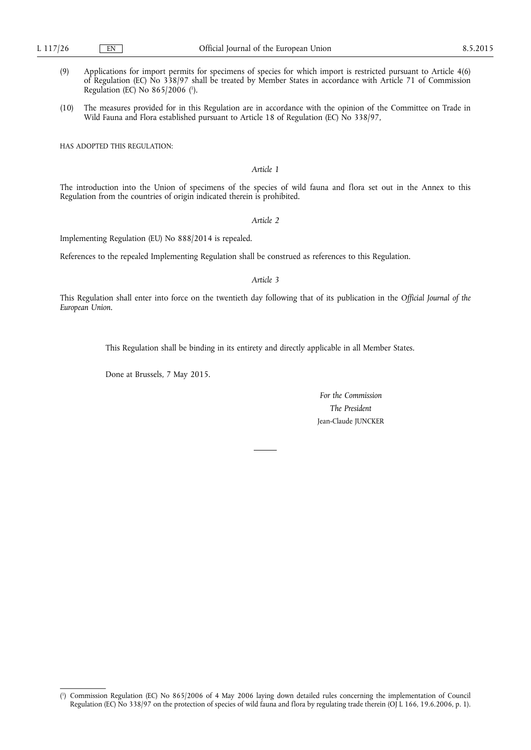- (9) Applications for import permits for specimens of species for which import is restricted pursuant to Article 4(6) of Regulation (EC) No 338/97 shall be treated by Member States in accordance with Article 71 of Commission Regulation (EC) No 865/2006 ( 1 ).
- (10) The measures provided for in this Regulation are in accordance with the opinion of the Committee on Trade in Wild Fauna and Flora established pursuant to Article 18 of Regulation (EC) No 338/97,

HAS ADOPTED THIS REGULATION:

# *Article 1*

The introduction into the Union of specimens of the species of wild fauna and flora set out in the Annex to this Regulation from the countries of origin indicated therein is prohibited.

*Article 2* 

Implementing Regulation (EU) No 888/2014 is repealed.

References to the repealed Implementing Regulation shall be construed as references to this Regulation.

#### *Article 3*

This Regulation shall enter into force on the twentieth day following that of its publication in the *Official Journal of the European Union*.

This Regulation shall be binding in its entirety and directly applicable in all Member States.

Done at Brussels, 7 May 2015.

*For the Commission The President*  Jean-Claude JUNCKER

<sup>(</sup> 1 ) Commission Regulation (EC) No 865/2006 of 4 May 2006 laying down detailed rules concerning the implementation of Council Regulation (EC) No 338/97 on the protection of species of wild fauna and flora by regulating trade therein (OJ L 166, 19.6.2006, p. 1).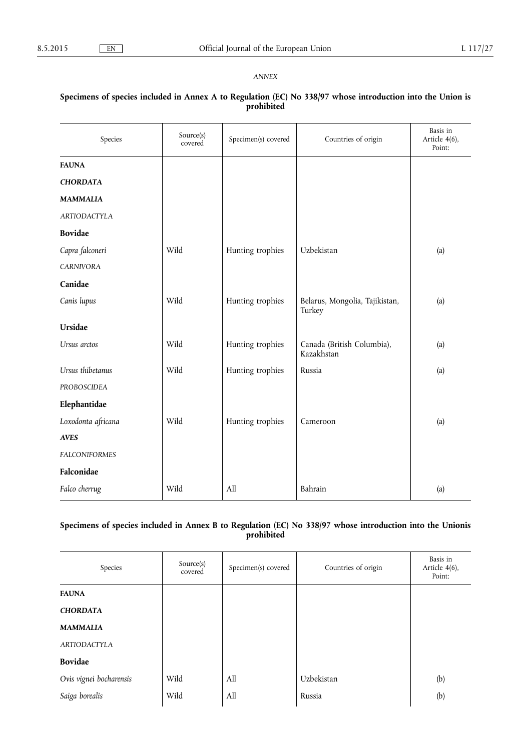## *ANNEX*

# Species Source(s) Specimen(s) covered Countries of origin Basis in Article 4(6), Point: **FAUNA**  *CHORDATA MAMMALIA ARTIODACTYLA*  **Bovidae**  *Capra falconeri* Wild Hunting trophies Uzbekistan (a) *CARNIVORA*  **Canidae**  *Canis lupus* Wild Hunting trophies Belarus, Mongolia, Tajikistan, Turkey (a) **Ursidae**  Ursus arctos **Wild** Wild Hunting trophies Canada (British Columbia), Kazakhstan (a) *Ursus thibetanus* **Wild** Hunting trophies Russia (a) (a) *PROBOSCIDEA*  **Elephantidae**  Loxodonta africana **Wild** Hunting trophies Cameroon (a) *AVES FALCONIFORMES*  **Falconidae**  *Falco cherrug* **Wild** All All Bahrain (a)

## **Specimens of species included in Annex A to Regulation (EC) No 338/97 whose introduction into the Union is prohibited**

# **Specimens of species included in Annex B to Regulation (EC) No 338/97 whose introduction into the Unionis prohibited**

| Species                 | Source(s)<br>covered | Specimen(s) covered | Countries of origin | Basis in<br>Article 4(6),<br>Point: |
|-------------------------|----------------------|---------------------|---------------------|-------------------------------------|
| <b>FAUNA</b>            |                      |                     |                     |                                     |
| <b>CHORDATA</b>         |                      |                     |                     |                                     |
| <b>MAMMALIA</b>         |                      |                     |                     |                                     |
| <b>ARTIODACTYLA</b>     |                      |                     |                     |                                     |
| <b>Bovidae</b>          |                      |                     |                     |                                     |
| Ovis vignei bocharensis | Wild                 | All                 | Uzbekistan          | (b)                                 |
| Saiga borealis          | Wild                 | All                 | Russia              | (b)                                 |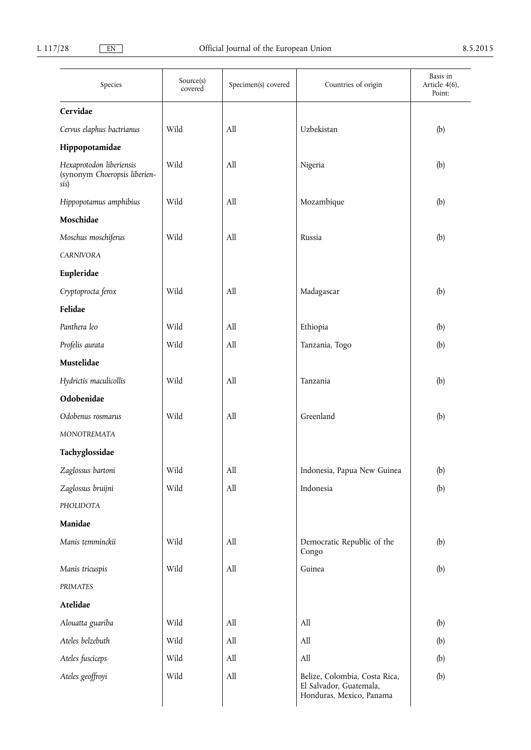| Species                                                           | Source(s)<br>covered | Specimen(s) covered         | Countries of origin                                                                  | Basis in<br>Article 4(6),<br>Point: |
|-------------------------------------------------------------------|----------------------|-----------------------------|--------------------------------------------------------------------------------------|-------------------------------------|
| Cervidae                                                          |                      |                             |                                                                                      |                                     |
| Cervus elaphus bactrianus                                         | Wild                 | All                         | Uzbekistan                                                                           | (b)                                 |
| Hippopotamidae                                                    |                      |                             |                                                                                      |                                     |
| Hexaprotodon liberiensis<br>(synonym Choeropsis liberien-<br>sis) | Wild                 | All                         | Nigeria                                                                              | (b)                                 |
| Hippopotamus amphibius                                            | Wild                 | All                         | Mozambique                                                                           | (b)                                 |
| Moschidae                                                         |                      |                             |                                                                                      |                                     |
| Moschus moschiferus                                               | Wild                 | All                         | Russia                                                                               | (b)                                 |
| <b>CARNIVORA</b>                                                  |                      |                             |                                                                                      |                                     |
| Eupleridae                                                        |                      |                             |                                                                                      |                                     |
| Cryptoprocta ferox                                                | Wild                 | All                         | Madagascar                                                                           | (b)                                 |
| Felidae                                                           |                      |                             |                                                                                      |                                     |
| Panthera leo                                                      | Wild                 | All                         | Ethiopia                                                                             | (b)                                 |
| Profelis aurata                                                   | Wild                 | All                         | Tanzania, Togo                                                                       | (b)                                 |
| Mustelidae                                                        |                      |                             |                                                                                      |                                     |
| Hydrictis maculicollis                                            | Wild                 | All                         | Tanzania                                                                             | (b)                                 |
| Odobenidae                                                        |                      |                             |                                                                                      |                                     |
| Odobenus rosmarus                                                 | Wild                 | All                         | Greenland                                                                            | (b)                                 |
| MONOTREMATA                                                       |                      |                             |                                                                                      |                                     |
| Tachyglossidae                                                    |                      |                             |                                                                                      |                                     |
| Zaglossus bartoni                                                 | Wild                 | All                         | Indonesia, Papua New Guinea                                                          | (b)                                 |
| Zaglossus bruijni                                                 | Wild                 | $\mathop{\rm All}\nolimits$ | Indonesia                                                                            | (b)                                 |
| PHOLIDOTA                                                         |                      |                             |                                                                                      |                                     |
| Manidae                                                           |                      |                             |                                                                                      |                                     |
| Manis temminckii                                                  | Wild                 | All                         | Democratic Republic of the<br>Congo                                                  | (b)                                 |
| Manis tricuspis                                                   | Wild                 | All                         | Guinea                                                                               | (b)                                 |
| PRIMATES                                                          |                      |                             |                                                                                      |                                     |
| Atelidae                                                          |                      |                             |                                                                                      |                                     |
| Alouatta guariba                                                  | Wild                 | All                         | All                                                                                  | (b)                                 |
| Ateles belzebuth                                                  | Wild                 | All                         | All                                                                                  | (b)                                 |
| Ateles fusciceps                                                  | Wild                 | All                         | All                                                                                  | (b)                                 |
| Ateles geoffroyi                                                  | Wild                 | All                         | Belize, Colombia, Costa Rica,<br>El Salvador, Guatemala,<br>Honduras, Mexico, Panama | (b)                                 |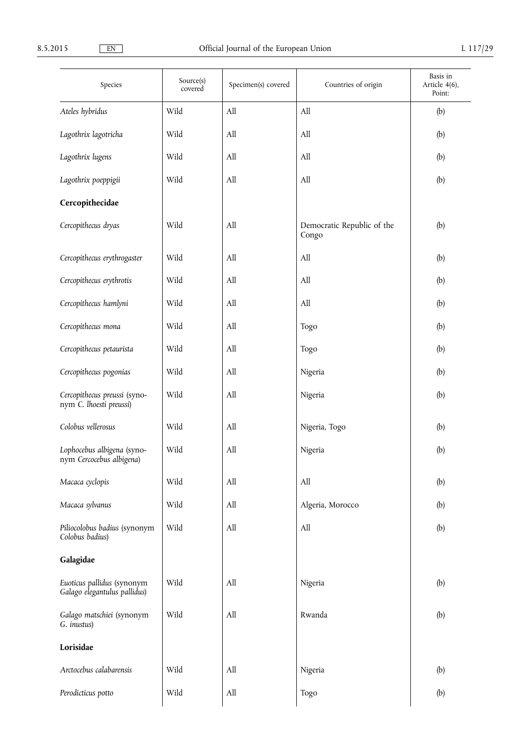| Species                                                    | Source(s)<br>covered | Specimen(s) covered | Countries of origin                 | Basis in<br>Article 4(6),<br>Point: |
|------------------------------------------------------------|----------------------|---------------------|-------------------------------------|-------------------------------------|
| Ateles hybridus                                            | Wild                 | All                 | All                                 | (b)                                 |
| Lagothrix lagotricha                                       | Wild                 | All                 | All                                 | (b)                                 |
| Lagothrix lugens                                           | Wild                 | All                 | All                                 | (b)                                 |
| Lagothrix poeppigii                                        | Wild                 | All                 | All                                 | (b)                                 |
| Cercopithecidae                                            |                      |                     |                                     |                                     |
| Cercopithecus dryas                                        | Wild                 | All                 | Democratic Republic of the<br>Congo | (b)                                 |
| Cercopithecus erythrogaster                                | Wild                 | All                 | All                                 | (b)                                 |
| Cercopithecus erythrotis                                   | Wild                 | All                 | All                                 | (b)                                 |
| Cercopithecus hamlyni                                      | Wild                 | All                 | All                                 | (b)                                 |
| Cercopithecus mona                                         | Wild                 | All                 | Togo                                | (b)                                 |
| Cercopithecus petaurista                                   | Wild                 | All                 | Togo                                | (b)                                 |
| Cercopithecus pogonias                                     | Wild                 | All                 | Nigeria                             | (b)                                 |
| Cercopithecus preussi (syno-<br>nym C. lhoesti preussi)    | Wild                 | All                 | Nigeria                             | (b)                                 |
| Colobus vellerosus                                         | Wild                 | All                 | Nigeria, Togo                       | (b)                                 |
| Lophocebus albigena (syno-<br>nym Cercocebus albigena)     | Wild                 | All                 | Nigeria                             | (b)                                 |
| Macaca cyclopis                                            | Wild                 | All                 | All                                 | (b)                                 |
| Macaca sylvanus                                            | Wild                 | All                 | Algeria, Morocco                    | (b)                                 |
| Piliocolobus badius (synonym<br>Colobus badius)            | Wild                 | All                 | All                                 | (b)                                 |
| Galagidae                                                  |                      |                     |                                     |                                     |
| Euoticus pallidus (synonym<br>Galago elegantulus pallidus) | Wild                 | All                 | Nigeria                             | (b)                                 |
| Galago matschiei (synonym<br>G. inustus)                   | Wild                 | All                 | Rwanda                              | (b)                                 |
| Lorisidae                                                  |                      |                     |                                     |                                     |
| Arctocebus calabarensis                                    | Wild                 | All                 | Nigeria                             | (b)                                 |
| Perodicticus potto                                         | Wild                 | All                 | Togo                                | (b)                                 |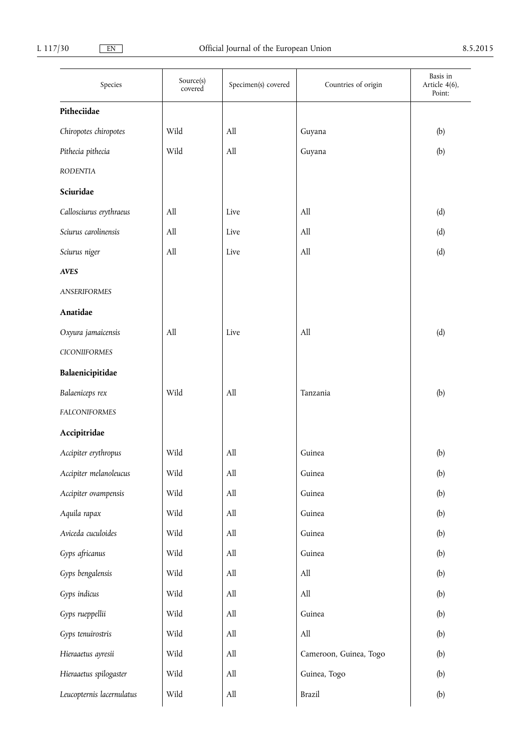| Species                   | Source(s)<br>covered | Specimen(s) covered              | Countries of origin              | Basis in<br>Article 4(6),<br>Point: |
|---------------------------|----------------------|----------------------------------|----------------------------------|-------------------------------------|
| Pitheciidae               |                      |                                  |                                  |                                     |
| Chiropotes chiropotes     | Wild                 | All                              | Guyana                           | (b)                                 |
| Pithecia pithecia         | Wild                 | All                              | Guyana                           | (b)                                 |
| <b>RODENTIA</b>           |                      |                                  |                                  |                                     |
| Sciuridae                 |                      |                                  |                                  |                                     |
| Callosciurus erythraeus   | All                  | Live                             | All                              | (d)                                 |
| Sciurus carolinensis      | All                  | Live                             | All                              | (d)                                 |
| Sciurus niger             | All                  | Live                             | All                              | (d)                                 |
| <b>AVES</b>               |                      |                                  |                                  |                                     |
| <b>ANSERIFORMES</b>       |                      |                                  |                                  |                                     |
| Anatidae                  |                      |                                  |                                  |                                     |
| Oxyura jamaicensis        | All                  | Live                             | All                              | (d)                                 |
| <b>CICONIIFORMES</b>      |                      |                                  |                                  |                                     |
| Balaenicipitidae          |                      |                                  |                                  |                                     |
| Balaeniceps rex           | Wild                 | All                              | Tanzania                         | (b)                                 |
| <b>FALCONIFORMES</b>      |                      |                                  |                                  |                                     |
| Accipitridae              |                      |                                  |                                  |                                     |
| Accipiter erythropus      | Wild                 | All                              | Guinea                           | (b)                                 |
| Accipiter melanoleucus    | Wild                 | $\mathop{\mathrm{All}}\nolimits$ | Guinea                           | (b)                                 |
| Accipiter ovampensis      | Wild                 | $\mathop{\mathrm{All}}\nolimits$ | Guinea                           | (b)                                 |
| Aquila rapax              | Wild                 | $\mathop{\mathrm{All}}\nolimits$ | Guinea                           | (b)                                 |
| Aviceda cuculoides        | Wild                 | $\mathop{\mathrm{All}}\nolimits$ | Guinea                           | (b)                                 |
| Gyps africanus            | Wild                 | All                              | Guinea                           | (b)                                 |
| Gyps bengalensis          | Wild                 | $\mathop{\mathrm{All}}\nolimits$ | $\mathop{\mathrm{All}}\nolimits$ | (b)                                 |
| Gyps indicus              | Wild                 | All                              | All                              | (b)                                 |
| Gyps rueppellii           | Wild                 | All                              | Guinea                           | (b)                                 |
| Gyps tenuirostris         | Wild                 | All                              | $\mathop{\mathrm{All}}\nolimits$ | (b)                                 |
| Hieraaetus ayresii        | Wild                 | $\mathop{\mathrm{All}}\nolimits$ | Cameroon, Guinea, Togo           | (b)                                 |
| Hieraaetus spilogaster    | Wild                 | $\mathop{\mathrm{All}}\nolimits$ | Guinea, Togo                     | (b)                                 |
| Leucopternis lacernulatus | Wild                 | $\mathop{\mathrm{All}}\nolimits$ | Brazil                           | (b)                                 |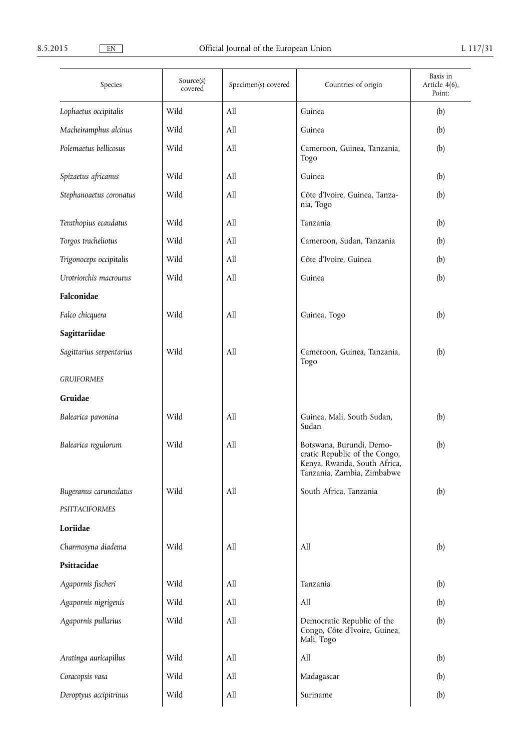| Species                  | Source(s)<br>covered | Specimen(s) covered | Countries of origin                                                                                                     | Basis in<br>Article 4(6),<br>Point: |
|--------------------------|----------------------|---------------------|-------------------------------------------------------------------------------------------------------------------------|-------------------------------------|
| Lophaetus occipitalis    | Wild                 | All                 | Guinea                                                                                                                  | (b)                                 |
| Macheiramphus alcinus    | Wild                 | All                 | Guinea                                                                                                                  | (b)                                 |
| Polemaetus bellicosus    | Wild                 | All                 | Cameroon, Guinea, Tanzania,<br>Togo                                                                                     | (b)                                 |
| Spizaetus africanus      | Wild                 | All                 | Guinea                                                                                                                  | (b)                                 |
| Stephanoaetus coronatus  | Wild                 | All                 | Côte d'Ivoire, Guinea, Tanza-<br>nia, Togo                                                                              | (b)                                 |
| Terathopius ecaudatus    | Wild                 | All                 | Tanzania                                                                                                                | (b)                                 |
| Torgos tracheliotus      | Wild                 | All                 | Cameroon, Sudan, Tanzania                                                                                               | (b)                                 |
| Trigonoceps occipitalis  | Wild                 | All                 | Côte d'Ivoire, Guinea                                                                                                   | (b)                                 |
| Urotriorchis macrourus   | Wild                 | All                 | Guinea                                                                                                                  | (b)                                 |
| Falconidae               |                      |                     |                                                                                                                         |                                     |
| Falco chicquera          | Wild                 | All                 | Guinea, Togo                                                                                                            | (b)                                 |
| Sagittariidae            |                      |                     |                                                                                                                         |                                     |
| Sagittarius serpentarius | Wild                 | All                 | Cameroon, Guinea, Tanzania,<br>Togo                                                                                     | (b)                                 |
| <b>GRUIFORMES</b>        |                      |                     |                                                                                                                         |                                     |
| Gruidae                  |                      |                     |                                                                                                                         |                                     |
| Balearica pavonina       | Wild                 | All                 | Guinea, Mali, South Sudan,<br>Sudan                                                                                     | (b)                                 |
| Balearica regulorum      | Wild                 | All                 | Botswana, Burundi, Demo-<br>cratic Republic of the Congo,<br>Kenya, Rwanda, South Africa,<br>Tanzania, Zambia, Zimbabwe | (b)                                 |
| Bugeranus carunculatus   | Wild                 | All                 | South Africa, Tanzania                                                                                                  | (b)                                 |
| PSITTACIFORMES           |                      |                     |                                                                                                                         |                                     |
| Loriidae                 |                      |                     |                                                                                                                         |                                     |
| Charmosyna diadema       | Wild                 | All                 | All                                                                                                                     | (b)                                 |
| Psittacidae              |                      |                     |                                                                                                                         |                                     |
| Agapornis fischeri       | Wild                 | All                 | Tanzania                                                                                                                | (b)                                 |
| Agapornis nigrigenis     | Wild                 | All                 | All                                                                                                                     | (b)                                 |
| Agapornis pullarius      | Wild                 | All                 | Democratic Republic of the<br>Congo, Côte d'Ivoire, Guinea,<br>Mali, Togo                                               | (b)                                 |
| Aratinga auricapillus    | Wild                 | All                 | All                                                                                                                     | (b)                                 |
| Coracopsis vasa          | Wild                 | All                 | Madagascar                                                                                                              | (b)                                 |
| Deroptyus accipitrinus   | Wild                 | All                 | Suriname                                                                                                                | (b)                                 |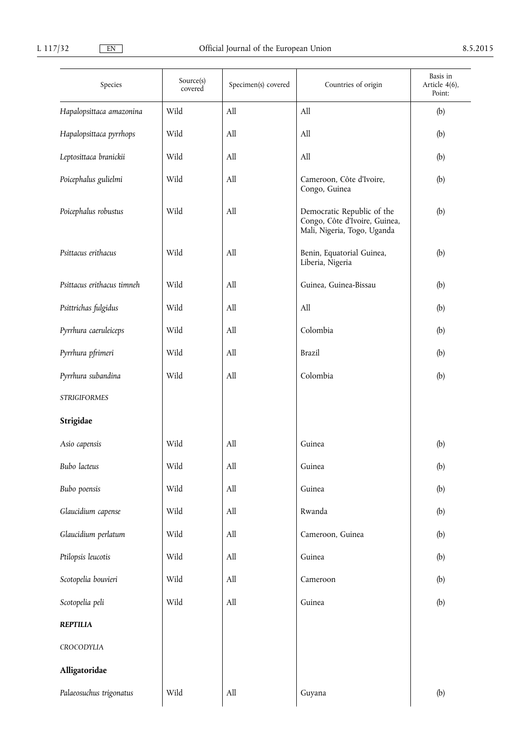| Species                    | Source(s)<br>covered | Specimen(s) covered              | Countries of origin                                                                        | Basis in<br>Article 4(6),<br>Point: |
|----------------------------|----------------------|----------------------------------|--------------------------------------------------------------------------------------------|-------------------------------------|
| Hapalopsittaca amazonina   | Wild                 | All                              | All                                                                                        | (b)                                 |
| Hapalopsittaca pyrrhops    | Wild                 | All                              | All                                                                                        | (b)                                 |
| Leptosittaca branickii     | Wild                 | All                              | All                                                                                        | (b)                                 |
| Poicephalus gulielmi       | Wild                 | All                              | Cameroon, Côte d'Ivoire,<br>Congo, Guinea                                                  | (b)                                 |
| Poicephalus robustus       | Wild                 | All                              | Democratic Republic of the<br>Congo, Côte d'Ivoire, Guinea,<br>Mali, Nigeria, Togo, Uganda | (b)                                 |
| Psittacus erithacus        | Wild                 | All                              | Benin, Equatorial Guinea,<br>Liberia, Nigeria                                              | (b)                                 |
| Psittacus erithacus timneh | Wild                 | All                              | Guinea, Guinea-Bissau                                                                      | (b)                                 |
| Psittrichas fulgidus       | Wild                 | All                              | All                                                                                        | (b)                                 |
| Pyrrhura caeruleiceps      | Wild                 | All                              | Colombia                                                                                   | (b)                                 |
| Pyrrhura pfrimeri          | Wild                 | All                              | <b>Brazil</b>                                                                              | (b)                                 |
| Pyrrhura subandina         | Wild                 | All                              | Colombia                                                                                   | (b)                                 |
| <b>STRIGIFORMES</b>        |                      |                                  |                                                                                            |                                     |
| Strigidae                  |                      |                                  |                                                                                            |                                     |
| Asio capensis              | Wild                 | All                              | Guinea                                                                                     | (b)                                 |
| Bubo lacteus               | Wild                 | All                              | Guinea                                                                                     | (b)                                 |
| Bubo poensis               | Wild                 | $\mathop{\mathrm{All}}\nolimits$ | Guinea                                                                                     | (b)                                 |
| Glaucidium capense         | Wild                 | All                              | Rwanda                                                                                     | (b)                                 |
| Glaucidium perlatum        | Wild                 | All                              | Cameroon, Guinea                                                                           | (b)                                 |
| Ptilopsis leucotis         | Wild                 | All                              | Guinea                                                                                     | (b)                                 |
| Scotopelia bouvieri        | Wild                 | All                              | Cameroon                                                                                   | (b)                                 |
| Scotopelia peli            | Wild                 | All                              | Guinea                                                                                     | (b)                                 |
| <b>REPTILIA</b>            |                      |                                  |                                                                                            |                                     |
| CROCODYLIA                 |                      |                                  |                                                                                            |                                     |
| Alligatoridae              |                      |                                  |                                                                                            |                                     |
| Palaeosuchus trigonatus    | Wild                 | $\mathop{\rm All}\nolimits$      | Guyana                                                                                     | (b)                                 |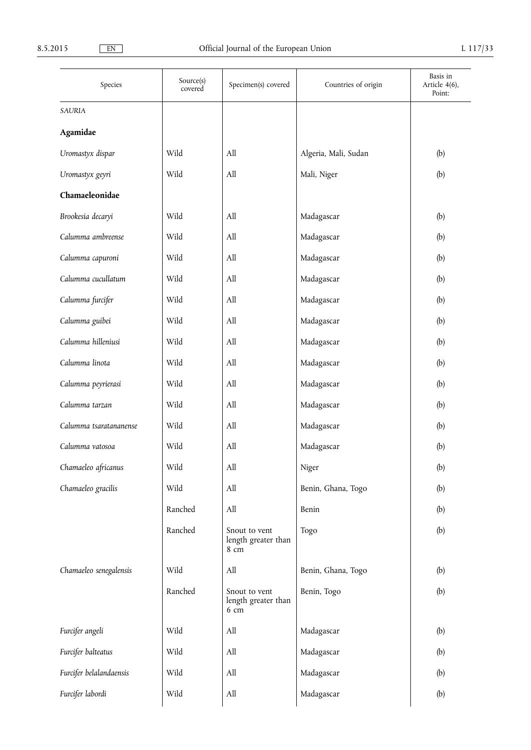| Species                 | Source(s)<br>covered | Specimen(s) covered                          | Countries of origin  | Basis in<br>Article 4(6),<br>Point: |
|-------------------------|----------------------|----------------------------------------------|----------------------|-------------------------------------|
| SAURIA                  |                      |                                              |                      |                                     |
| Agamidae                |                      |                                              |                      |                                     |
| Uromastyx dispar        | Wild                 | All                                          | Algeria, Mali, Sudan | (b)                                 |
| Uromastyx geyri         | Wild                 | All                                          | Mali, Niger          | (b)                                 |
| Chamaeleonidae          |                      |                                              |                      |                                     |
| Brookesia decaryi       | Wild                 | All                                          | Madagascar           | (b)                                 |
| Calumma ambreense       | Wild                 | All                                          | Madagascar           | (b)                                 |
| Calumma capuroni        | Wild                 | All                                          | Madagascar           | (b)                                 |
| Calumma cucullatum      | Wild                 | All                                          | Madagascar           | (b)                                 |
| Calumma furcifer        | Wild                 | All                                          | Madagascar           | (b)                                 |
| Calumma guibei          | Wild                 | All                                          | Madagascar           | (b)                                 |
| Calumma hilleniusi      | Wild                 | All                                          | Madagascar           | (b)                                 |
| Calumma linota          | Wild                 | All                                          | Madagascar           | (b)                                 |
| Calumma peyrierasi      | Wild                 | All                                          | Madagascar           | (b)                                 |
| Calumma tarzan          | Wild                 | All                                          | Madagascar           | (b)                                 |
| Calumma tsaratananense  | Wild                 | All                                          | Madagascar           | (b)                                 |
| Calumma vatosoa         | Wild                 | All                                          | Madagascar           | (b)                                 |
| Chamaeleo africanus     | Wild                 | $\mathop{\mathrm{All}}\nolimits$             | Niger                | (b)                                 |
| Chamaeleo gracilis      | Wild                 | All                                          | Benin, Ghana, Togo   | (b)                                 |
|                         | Ranched              | All                                          | Benin                | (b)                                 |
|                         | Ranched              | Snout to vent<br>length greater than<br>8 cm | Togo                 | (b)                                 |
| Chamaeleo senegalensis  | Wild                 | All                                          | Benin, Ghana, Togo   | (b)                                 |
|                         | Ranched              | Snout to vent<br>length greater than<br>6 cm | Benin, Togo          | (b)                                 |
| Furcifer angeli         | Wild                 | All                                          | Madagascar           | (b)                                 |
| Furcifer balteatus      | Wild                 | All                                          | Madagascar           | (b)                                 |
| Furcifer belalandaensis | Wild                 | All                                          | Madagascar           | (b)                                 |
| Furcifer labordi        | Wild                 | All                                          | Madagascar           | (b)                                 |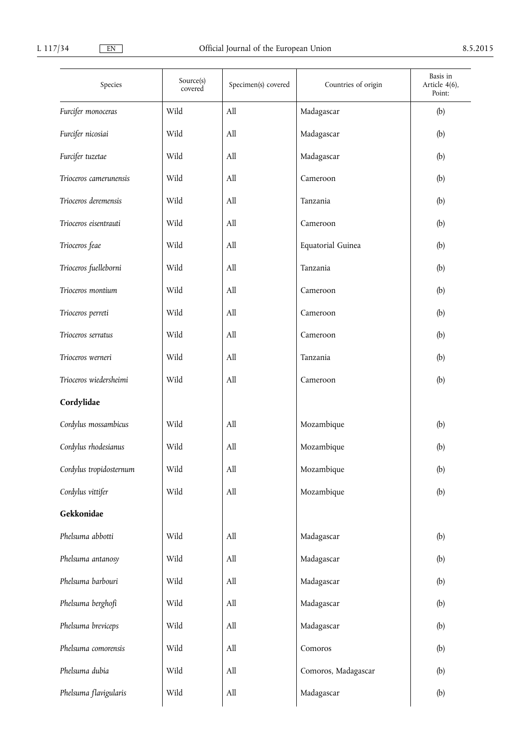| Species                 | Source(s)<br>covered | Specimen(s) covered | Countries of origin | Basis in<br>Article 4(6),<br>Point: |
|-------------------------|----------------------|---------------------|---------------------|-------------------------------------|
| Furcifer monoceras      | Wild                 | All                 | Madagascar          | (b)                                 |
| Furcifer nicosiai       | Wild                 | All                 | Madagascar          | (b)                                 |
| Furcifer tuzetae        | Wild                 | All                 | Madagascar          | (b)                                 |
| Trioceros camerunensis  | Wild                 | All                 | Cameroon            | (b)                                 |
| Trioceros deremensis    | Wild                 | All                 | Tanzania            | (b)                                 |
| Trioceros eisentrauti   | Wild                 | All                 | Cameroon            | (b)                                 |
| Trioceros feae          | Wild                 | All                 | Equatorial Guinea   | (b)                                 |
| Trioceros fuelleborni   | Wild                 | All                 | Tanzania            | (b)                                 |
| Trioceros montium       | Wild                 | All                 | Cameroon            | (b)                                 |
| Trioceros perreti       | Wild                 | All                 | Cameroon            | (b)                                 |
| Trioceros serratus      | Wild                 | All                 | Cameroon            | (b)                                 |
| Trioceros werneri       | Wild                 | All                 | Tanzania            | (b)                                 |
| Trioceros wiedersheimi  | Wild                 | All                 | Cameroon            | (b)                                 |
| Cordylidae              |                      |                     |                     |                                     |
| Cordylus mossambicus    | Wild                 | All                 | Mozambique          | (b)                                 |
| Cordylus rhodesianus    | Wild                 | All                 | Mozambique          | (b)                                 |
| Cordylus tropidosternum | Wild                 | All                 | Mozambique          | (b)                                 |
| Cordylus vittifer       | Wild                 | All                 | Mozambique          | (b)                                 |
| Gekkonidae              |                      |                     |                     |                                     |
| Phelsuma abbotti        | Wild                 | All                 | Madagascar          | (b)                                 |
| Phelsuma antanosy       | Wild                 | All                 | Madagascar          | (b)                                 |
| Phelsuma barbouri       | Wild                 | All                 | Madagascar          | (b)                                 |
| Phelsuma berghofi       | Wild                 | All                 | Madagascar          | (b)                                 |
| Phelsuma breviceps      | Wild                 | All                 | Madagascar          | (b)                                 |
| Phelsuma comorensis     | Wild                 | All                 | Comoros             | (b)                                 |
| Phelsuma dubia          | Wild                 | All                 | Comoros, Madagascar | (b)                                 |
| Phelsuma flavigularis   | Wild                 | All                 | Madagascar          | (b)                                 |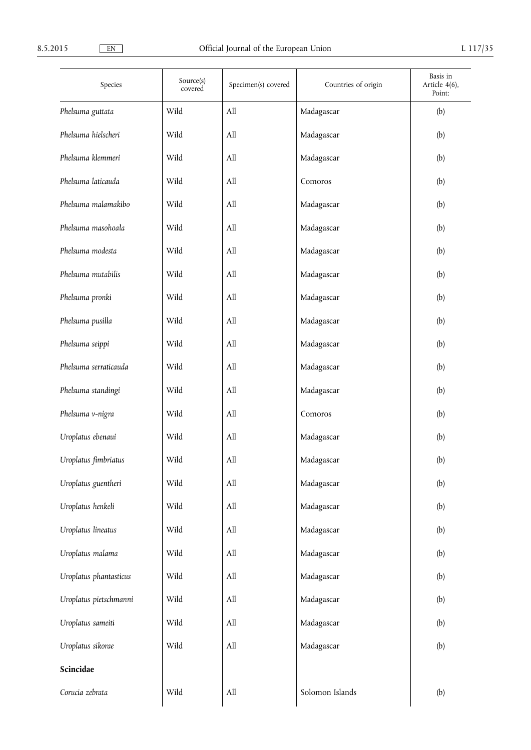| Species                | Source(s)<br>covered | Specimen(s) covered | Countries of origin | Basis in<br>Article 4(6),<br>Point: |
|------------------------|----------------------|---------------------|---------------------|-------------------------------------|
| Phelsuma guttata       | Wild                 | All                 | Madagascar          | (b)                                 |
| Phelsuma hielscheri    | Wild                 | All                 | Madagascar          | (b)                                 |
| Phelsuma klemmeri      | Wild                 | All                 | Madagascar          | (b)                                 |
| Phelsuma laticauda     | Wild                 | All                 | Comoros             | (b)                                 |
| Phelsuma malamakibo    | Wild                 | All                 | Madagascar          | (b)                                 |
| Phelsuma masohoala     | Wild                 | All                 | Madagascar          | (b)                                 |
| Phelsuma modesta       | Wild                 | All                 | Madagascar          | (b)                                 |
| Phelsuma mutabilis     | Wild                 | All                 | Madagascar          | (b)                                 |
| Phelsuma pronki        | Wild                 | All                 | Madagascar          | (b)                                 |
| Phelsuma pusilla       | Wild                 | All                 | Madagascar          | (b)                                 |
| Phelsuma seippi        | Wild                 | All                 | Madagascar          | (b)                                 |
| Phelsuma serraticauda  | Wild                 | All                 | Madagascar          | (b)                                 |
| Phelsuma standingi     | Wild                 | All                 | Madagascar          | (b)                                 |
| Phelsuma v-nigra       | Wild                 | All                 | Comoros             | (b)                                 |
| Uroplatus ebenaui      | Wild                 | All                 | Madagascar          | (b)                                 |
| Uroplatus fimbriatus   | Wild                 | All                 | Madagascar          | (b)                                 |
| Uroplatus guentheri    | Wild                 | All                 | Madagascar          | (b)                                 |
| Uroplatus henkeli      | Wild                 | All                 | Madagascar          | (b)                                 |
| Uroplatus lineatus     | Wild                 | All                 | Madagascar          | (b)                                 |
| Uroplatus malama       | Wild                 | All                 | Madagascar          | (b)                                 |
| Uroplatus phantasticus | Wild                 | All                 | Madagascar          | (b)                                 |
| Uroplatus pietschmanni | Wild                 | All                 | Madagascar          | (b)                                 |
| Uroplatus sameiti      | Wild                 | All                 | Madagascar          | (b)                                 |
| Uroplatus sikorae      | Wild                 | All                 | Madagascar          | (b)                                 |
| Scincidae              |                      |                     |                     |                                     |
| Corucia zebrata        | Wild                 | All                 | Solomon Islands     | (b)                                 |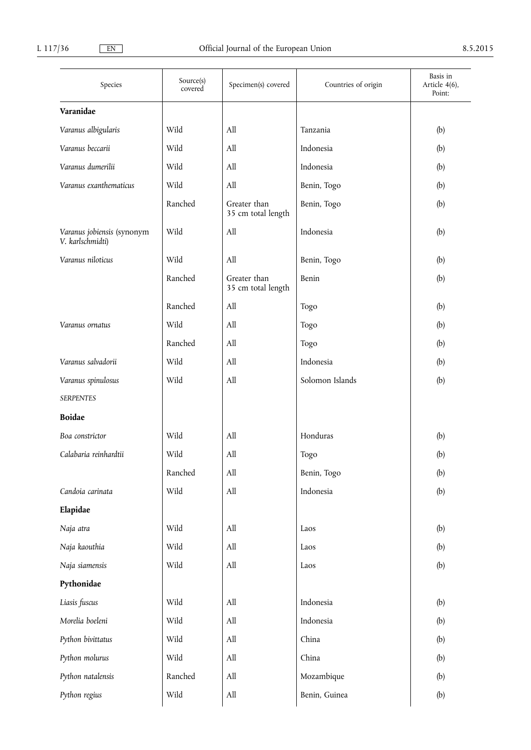| Species                                        | Source(s)<br>covered | Specimen(s) covered                | Countries of origin | Basis in<br>Article 4(6),<br>Point: |
|------------------------------------------------|----------------------|------------------------------------|---------------------|-------------------------------------|
| Varanidae                                      |                      |                                    |                     |                                     |
| Varanus albigularis                            | Wild                 | All                                | Tanzania            | (b)                                 |
| Varanus beccarii                               | Wild                 | All                                | Indonesia           | (b)                                 |
| Varanus dumerilii                              | Wild                 | All                                | Indonesia           | (b)                                 |
| Varanus exanthematicus                         | Wild                 | All                                | Benin, Togo         | (b)                                 |
|                                                | Ranched              | Greater than<br>35 cm total length | Benin, Togo         | (b)                                 |
| Varanus jobiensis (synonym<br>V. karlschmidti) | Wild                 | All                                | Indonesia           | (b)                                 |
| Varanus niloticus                              | Wild                 | All                                | Benin, Togo         | (b)                                 |
|                                                | Ranched              | Greater than<br>35 cm total length | Benin               | (b)                                 |
|                                                | Ranched              | All                                | Togo                | (b)                                 |
| Varanus ornatus                                | Wild                 | All                                | Togo                | (b)                                 |
|                                                | Ranched              | All                                | Togo                | (b)                                 |
| Varanus salvadorii                             | Wild                 | All                                | Indonesia           | (b)                                 |
| Varanus spinulosus                             | Wild                 | All                                | Solomon Islands     | (b)                                 |
| <b>SERPENTES</b>                               |                      |                                    |                     |                                     |
| <b>Boidae</b>                                  |                      |                                    |                     |                                     |
| Boa constrictor                                | Wild                 | All                                | Honduras            | (b)                                 |
| Calabaria reinhardtii                          | Wild                 | All                                | Togo                | (b)                                 |
|                                                | Ranched              | All                                | Benin, Togo         | (b)                                 |
| Candoia carinata                               | Wild                 | All                                | Indonesia           | (b)                                 |
| Elapidae                                       |                      |                                    |                     |                                     |
| Naja atra                                      | Wild                 | All                                | Laos                | (b)                                 |
| Naja kaouthia                                  | Wild                 | All                                | Laos                | (b)                                 |
| Naja siamensis                                 | Wild                 | All                                | Laos                | (b)                                 |
| Pythonidae                                     |                      |                                    |                     |                                     |
| Liasis fuscus                                  | Wild                 | All                                | Indonesia           | (b)                                 |
| Morelia boeleni                                | Wild                 | All                                | Indonesia           | (b)                                 |
| Python bivittatus                              | Wild                 | All                                | China               | (b)                                 |
| Python molurus                                 | Wild                 | $\mathop{\mathrm{All}}\nolimits$   | China               | (b)                                 |
| Python natalensis                              | Ranched              | All                                | Mozambique          | (b)                                 |
| Python regius                                  | Wild                 | $\mathop{\mathrm{All}}\nolimits$   | Benin, Guinea       | (b)                                 |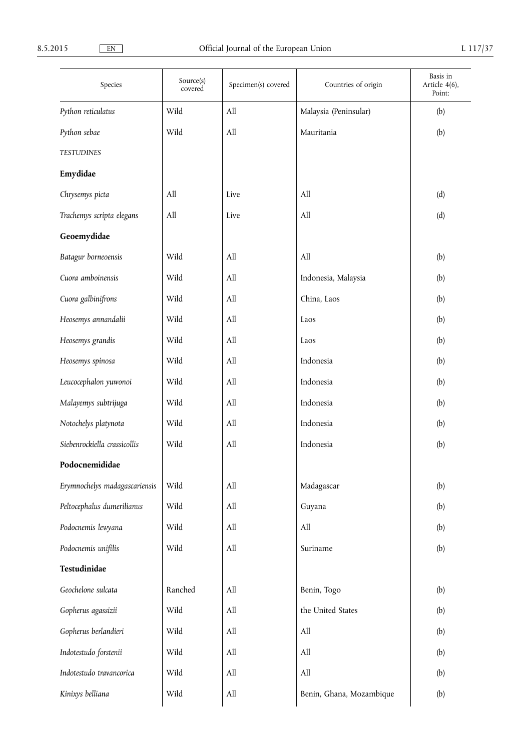| Species                       | Source(s)<br>covered | Specimen(s) covered | Countries of origin              | Basis in<br>Article 4(6),<br>Point: |
|-------------------------------|----------------------|---------------------|----------------------------------|-------------------------------------|
| Python reticulatus            | Wild                 | All                 | Malaysia (Peninsular)            | (b)                                 |
| Python sebae                  | Wild                 | All                 | Mauritania                       | (b)                                 |
| <b>TESTUDINES</b>             |                      |                     |                                  |                                     |
| Emydidae                      |                      |                     |                                  |                                     |
| Chrysemys picta               | All                  | Live                | All                              | (d)                                 |
| Trachemys scripta elegans     | All                  | Live                | All                              | (d)                                 |
| Geoemydidae                   |                      |                     |                                  |                                     |
| Batagur borneoensis           | Wild                 | All                 | All                              | (b)                                 |
| Cuora amboinensis             | Wild                 | All                 | Indonesia, Malaysia              | (b)                                 |
| Cuora galbinifrons            | Wild                 | All                 | China, Laos                      | (b)                                 |
| Heosemys annandalii           | Wild                 | All                 | Laos                             | (b)                                 |
| Heosemys grandis              | Wild                 | All                 | Laos                             | (b)                                 |
| Heosemys spinosa              | Wild                 | All                 | Indonesia                        | (b)                                 |
| Leucocephalon yuwonoi         | Wild                 | All                 | Indonesia                        | (b)                                 |
| Malayemys subtrijuga          | Wild                 | All                 | Indonesia                        | (b)                                 |
| Notochelys platynota          | Wild                 | All                 | Indonesia                        | (b)                                 |
| Siebenrockiella crassicollis  | Wild                 | All                 | Indonesia                        | (b)                                 |
| Podocnemididae                |                      |                     |                                  |                                     |
| Erymnochelys madagascariensis | Wild                 | All                 | Madagascar                       | (b)                                 |
| Peltocephalus dumerilianus    | Wild                 | All                 | Guyana                           | (b)                                 |
| Podocnemis lewyana            | Wild                 | All                 | All                              | (b)                                 |
| Podocnemis unifilis           | Wild                 | All                 | Suriname                         | (b)                                 |
| Testudinidae                  |                      |                     |                                  |                                     |
| Geochelone sulcata            | Ranched              | All                 | Benin, Togo                      | (b)                                 |
| Gopherus agassizii            | Wild                 | All                 | the United States                | (b)                                 |
| Gopherus berlandieri          | Wild                 | All                 | All                              | (b)                                 |
| Indotestudo forstenii         | Wild                 | All                 | All                              | (b)                                 |
| Indotestudo travancorica      | Wild                 | All                 | $\mathop{\mathrm{All}}\nolimits$ | (b)                                 |
| Kinixys belliana              | Wild                 | All                 | Benin, Ghana, Mozambique         | (b)                                 |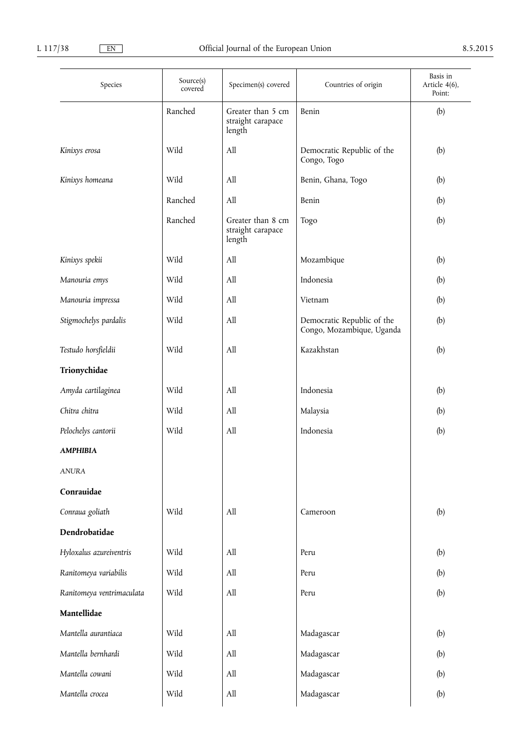| Species                   | Source(s)<br>covered | Specimen(s) covered                              | Countries of origin                                     | Basis in<br>Article 4(6),<br>Point: |
|---------------------------|----------------------|--------------------------------------------------|---------------------------------------------------------|-------------------------------------|
|                           | Ranched              | Greater than 5 cm<br>straight carapace<br>length | Benin                                                   | (b)                                 |
| Kinixys erosa             | Wild                 | All                                              | Democratic Republic of the<br>Congo, Togo               | (b)                                 |
| Kinixys homeana           | Wild                 | All                                              | Benin, Ghana, Togo                                      | (b)                                 |
|                           | Ranched              | All                                              | Benin                                                   | (b)                                 |
|                           | Ranched              | Greater than 8 cm<br>straight carapace<br>length | Togo                                                    | (b)                                 |
| Kinixys spekii            | Wild                 | All                                              | Mozambique                                              | (b)                                 |
| Manouria emys             | Wild                 | All                                              | Indonesia                                               | (b)                                 |
| Manouria impressa         | Wild                 | All                                              | Vietnam                                                 | (b)                                 |
| Stigmochelys pardalis     | Wild                 | All                                              | Democratic Republic of the<br>Congo, Mozambique, Uganda | (b)                                 |
| Testudo horsfieldii       | Wild                 | All                                              | Kazakhstan                                              | (b)                                 |
| Trionychidae              |                      |                                                  |                                                         |                                     |
| Amyda cartilaginea        | Wild                 | All                                              | Indonesia                                               | (b)                                 |
| Chitra chitra             | Wild                 | All                                              | Malaysia                                                | (b)                                 |
| Pelochelys cantorii       | Wild                 | All                                              | Indonesia                                               | (b)                                 |
| <b>AMPHIBIA</b>           |                      |                                                  |                                                         |                                     |
| <b>ANURA</b>              |                      |                                                  |                                                         |                                     |
| Conrauidae                |                      |                                                  |                                                         |                                     |
| Conraua goliath           | Wild                 | All                                              | Cameroon                                                | (b)                                 |
| Dendrobatidae             |                      |                                                  |                                                         |                                     |
| Hyloxalus azureiventris   | Wild                 | All                                              | Peru                                                    | (b)                                 |
| Ranitomeya variabilis     | Wild                 | All                                              | Peru                                                    | (b)                                 |
| Ranitomeya ventrimaculata | Wild                 | All                                              | Peru                                                    | (b)                                 |
| Mantellidae               |                      |                                                  |                                                         |                                     |
| Mantella aurantiaca       | Wild                 | All                                              | Madagascar                                              | (b)                                 |
| Mantella bernhardi        | Wild                 | All                                              | Madagascar                                              | (b)                                 |
| Mantella cowani           | Wild                 | All                                              | Madagascar                                              | (b)                                 |
| Mantella crocea           | Wild                 | All                                              | Madagascar                                              | (b)                                 |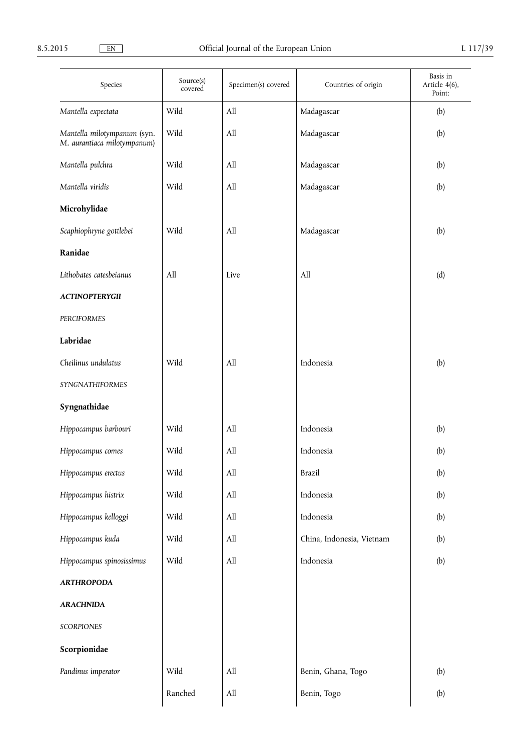| Species                                                    | Source(s)<br>covered | Specimen(s) covered | Countries of origin       | Basis in<br>Article 4(6),<br>Point: |
|------------------------------------------------------------|----------------------|---------------------|---------------------------|-------------------------------------|
| Mantella expectata                                         | Wild                 | All                 | Madagascar                | (b)                                 |
| Mantella milotympanum (syn.<br>M. aurantiaca milotympanum) | Wild                 | All                 | Madagascar                | (b)                                 |
| Mantella pulchra                                           | Wild                 | All                 | Madagascar                | (b)                                 |
| Mantella viridis                                           | Wild                 | All                 | Madagascar                | (b)                                 |
| Microhylidae                                               |                      |                     |                           |                                     |
| Scaphiophryne gottlebei                                    | Wild                 | All                 | Madagascar                | (b)                                 |
| Ranidae                                                    |                      |                     |                           |                                     |
| Lithobates catesbeianus                                    | All                  | Live                | All                       | (d)                                 |
| <b>ACTINOPTERYGII</b>                                      |                      |                     |                           |                                     |
| PERCIFORMES                                                |                      |                     |                           |                                     |
| Labridae                                                   |                      |                     |                           |                                     |
| Cheilinus undulatus                                        | Wild                 | All                 | Indonesia                 | (b)                                 |
| SYNGNATHIFORMES                                            |                      |                     |                           |                                     |
| Syngnathidae                                               |                      |                     |                           |                                     |
| Hippocampus barbouri                                       | Wild                 | All                 | Indonesia                 | (b)                                 |
| Hippocampus comes                                          | Wild                 | All                 | Indonesia                 | (b)                                 |
| Hippocampus erectus                                        | Wild                 | All                 | <b>Brazil</b>             | (b)                                 |
| Hippocampus histrix                                        | Wild                 | All                 | Indonesia                 | (b)                                 |
| Hippocampus kelloggi                                       | Wild                 | All                 | Indonesia                 | (b)                                 |
| Hippocampus kuda                                           | Wild                 | All                 | China, Indonesia, Vietnam | (b)                                 |
| Hippocampus spinosissimus                                  | Wild                 | All                 | Indonesia                 | (b)                                 |
| <b>ARTHROPODA</b>                                          |                      |                     |                           |                                     |
| <b>ARACHNIDA</b>                                           |                      |                     |                           |                                     |
| SCORPIONES                                                 |                      |                     |                           |                                     |
| Scorpionidae                                               |                      |                     |                           |                                     |
| Pandinus imperator                                         | Wild                 | All                 | Benin, Ghana, Togo        | (b)                                 |
|                                                            | Ranched              | All                 | Benin, Togo               | (b)                                 |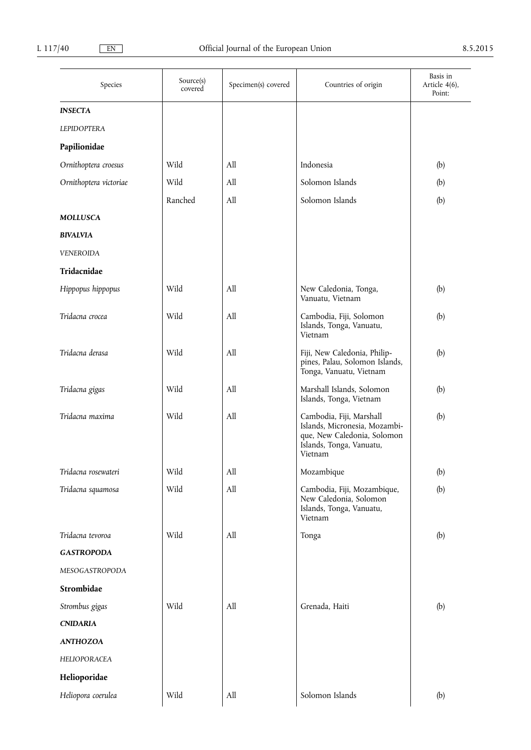| Species                | Source(s)<br>covered | Specimen(s) covered              | Countries of origin                                                                                                             | Basis in<br>Article 4(6),<br>Point: |
|------------------------|----------------------|----------------------------------|---------------------------------------------------------------------------------------------------------------------------------|-------------------------------------|
| <b>INSECTA</b>         |                      |                                  |                                                                                                                                 |                                     |
| <b>LEPIDOPTERA</b>     |                      |                                  |                                                                                                                                 |                                     |
| Papilionidae           |                      |                                  |                                                                                                                                 |                                     |
| Ornithoptera croesus   | Wild                 | All                              | Indonesia                                                                                                                       | (b)                                 |
| Ornithoptera victoriae | Wild                 | All                              | Solomon Islands                                                                                                                 | (b)                                 |
|                        | Ranched              | All                              | Solomon Islands                                                                                                                 | (b)                                 |
| <b>MOLLUSCA</b>        |                      |                                  |                                                                                                                                 |                                     |
| <b>BIVALVIA</b>        |                      |                                  |                                                                                                                                 |                                     |
| <b>VENEROIDA</b>       |                      |                                  |                                                                                                                                 |                                     |
| Tridacnidae            |                      |                                  |                                                                                                                                 |                                     |
| Hippopus hippopus      | Wild                 | All                              | New Caledonia, Tonga,<br>Vanuatu, Vietnam                                                                                       | (b)                                 |
| Tridacna crocea        | Wild                 | All                              | Cambodia, Fiji, Solomon<br>Islands, Tonga, Vanuatu,<br>Vietnam                                                                  | (b)                                 |
| Tridacna derasa        | Wild                 | All                              | Fiji, New Caledonia, Philip-<br>pines, Palau, Solomon Islands,<br>Tonga, Vanuatu, Vietnam                                       | (b)                                 |
| Tridacna gigas         | Wild                 | All                              | Marshall Islands, Solomon<br>Islands, Tonga, Vietnam                                                                            | (b)                                 |
| Tridacna maxima        | Wild                 | All                              | Cambodia, Fiji, Marshall<br>Islands, Micronesia, Mozambi-<br>que, New Caledonia, Solomon<br>Islands, Tonga, Vanuatu,<br>Vietnam | (b)                                 |
| Tridacna rosewateri    | Wild                 | All                              | Mozambique                                                                                                                      | (b)                                 |
| Tridacna squamosa      | Wild                 | $\mathop{\mathrm{All}}\nolimits$ | Cambodia, Fiji, Mozambique,<br>New Caledonia, Solomon<br>Islands, Tonga, Vanuatu,<br>Vietnam                                    | (b)                                 |
| Tridacna tevoroa       | Wild                 | All                              | Tonga                                                                                                                           | (b)                                 |
| <b>GASTROPODA</b>      |                      |                                  |                                                                                                                                 |                                     |
| MESOGASTROPODA         |                      |                                  |                                                                                                                                 |                                     |
| Strombidae             |                      |                                  |                                                                                                                                 |                                     |
| Strombus gigas         | Wild                 | All                              | Grenada, Haiti                                                                                                                  | (b)                                 |
| <b>CNIDARIA</b>        |                      |                                  |                                                                                                                                 |                                     |
| <b>ANTHOZOA</b>        |                      |                                  |                                                                                                                                 |                                     |
| HELIOPORACEA           |                      |                                  |                                                                                                                                 |                                     |
| Helioporidae           |                      |                                  |                                                                                                                                 |                                     |
| Heliopora coerulea     | Wild                 | $\mathop{\mathrm{All}}\nolimits$ | Solomon Islands                                                                                                                 | (b)                                 |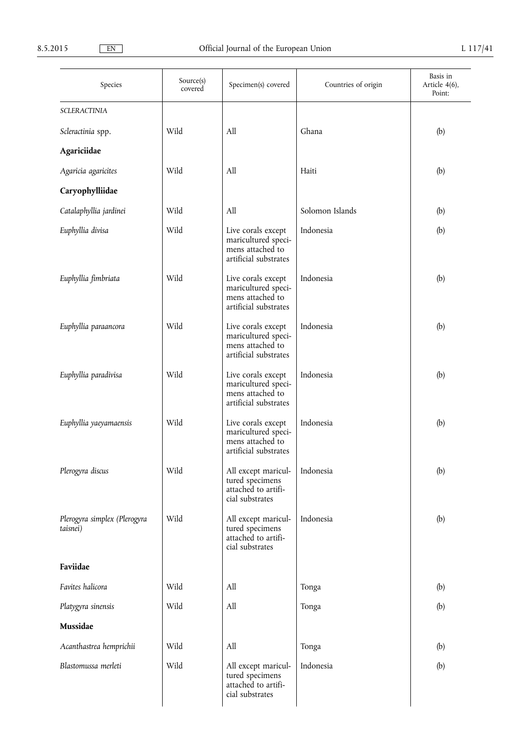| Species                                  | Source(s)<br>covered | Specimen(s) covered                                                                    | Countries of origin | Basis in<br>Article 4(6),<br>Point: |
|------------------------------------------|----------------------|----------------------------------------------------------------------------------------|---------------------|-------------------------------------|
| <b>SCLERACTINIA</b>                      |                      |                                                                                        |                     |                                     |
| Scleractinia spp.                        | Wild                 | All                                                                                    | Ghana               | (b)                                 |
| Agariciidae                              |                      |                                                                                        |                     |                                     |
| Agaricia agaricites                      | Wild                 | All                                                                                    | Haiti               | (b)                                 |
| Caryophylliidae                          |                      |                                                                                        |                     |                                     |
| Catalaphyllia jardinei                   | Wild                 | A11                                                                                    | Solomon Islands     | (b)                                 |
| Euphyllia divisa                         | Wild                 | Live corals except<br>maricultured speci-<br>mens attached to<br>artificial substrates | Indonesia           | (b)                                 |
| Euphyllia fimbriata                      | Wild                 | Live corals except<br>maricultured speci-<br>mens attached to<br>artificial substrates | Indonesia           | (b)                                 |
| Euphyllia paraancora                     | Wild                 | Live corals except<br>maricultured speci-<br>mens attached to<br>artificial substrates | Indonesia           | (b)                                 |
| Euphyllia paradivisa                     | Wild                 | Live corals except<br>maricultured speci-<br>mens attached to<br>artificial substrates | Indonesia           | (b)                                 |
| Euphyllia yaeyamaensis                   | Wild                 | Live corals except<br>maricultured speci-<br>mens attached to<br>artificial substrates | Indonesia           | (b)                                 |
| Plerogyra discus                         | Wild                 | All except maricul-<br>tured specimens<br>attached to artifi-<br>cial substrates       | Indonesia           | (b)                                 |
| Plerogyra simplex (Plerogyra<br>taisnei) | Wild                 | All except maricul-<br>tured specimens<br>attached to artifi-<br>cial substrates       | Indonesia           | (b)                                 |
| Faviidae                                 |                      |                                                                                        |                     |                                     |
| Favites halicora                         | Wild                 | All                                                                                    | Tonga               | (b)                                 |
| Platygyra sinensis                       | Wild                 | All                                                                                    | Tonga               | (b)                                 |
| Mussidae                                 |                      |                                                                                        |                     |                                     |
| Acanthastrea hemprichii                  | Wild                 | All                                                                                    | Tonga               | (b)                                 |
| Blastomussa merleti                      | Wild                 | All except maricul-<br>tured specimens<br>attached to artifi-<br>cial substrates       | Indonesia           | (b)                                 |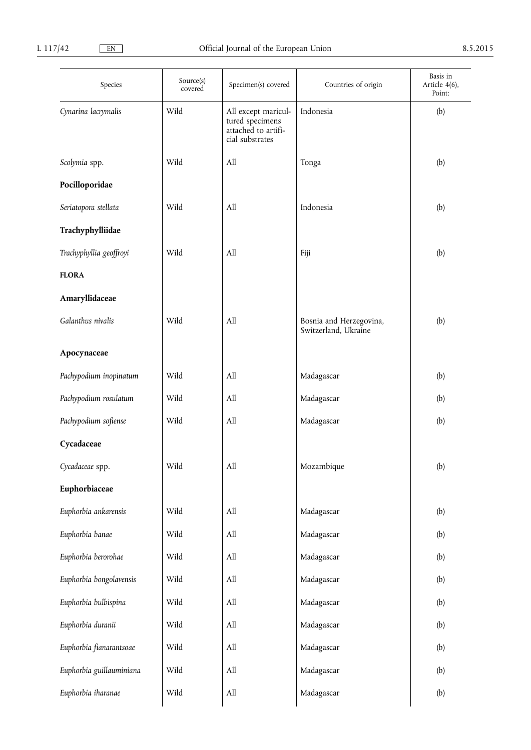| Species                  | Source(s)<br>covered | Specimen(s) covered                                                              | Countries of origin                             | Basis in<br>Article 4(6),<br>Point: |
|--------------------------|----------------------|----------------------------------------------------------------------------------|-------------------------------------------------|-------------------------------------|
| Cynarina lacrymalis      | Wild                 | All except maricul-<br>tured specimens<br>attached to artifi-<br>cial substrates | Indonesia                                       | (b)                                 |
| Scolymia spp.            | Wild                 | All                                                                              | Tonga                                           | (b)                                 |
| Pocilloporidae           |                      |                                                                                  |                                                 |                                     |
| Seriatopora stellata     | Wild                 | All                                                                              | Indonesia                                       | (b)                                 |
| Trachyphylliidae         |                      |                                                                                  |                                                 |                                     |
| Trachyphyllia geoffroyi  | Wild                 | All                                                                              | Fiji                                            | (b)                                 |
| <b>FLORA</b>             |                      |                                                                                  |                                                 |                                     |
| Amaryllidaceae           |                      |                                                                                  |                                                 |                                     |
| Galanthus nivalis        | Wild                 | All                                                                              | Bosnia and Herzegovina,<br>Switzerland, Ukraine | (b)                                 |
| Apocynaceae              |                      |                                                                                  |                                                 |                                     |
| Pachypodium inopinatum   | Wild                 | All                                                                              | Madagascar                                      | (b)                                 |
| Pachypodium rosulatum    | Wild                 | All                                                                              | Madagascar                                      | (b)                                 |
| Pachypodium sofiense     | Wild                 | All                                                                              | Madagascar                                      | (b)                                 |
| Cycadaceae               |                      |                                                                                  |                                                 |                                     |
| Cycadaceae spp.          | Wild                 | All                                                                              | Mozambique                                      | (b)                                 |
| Euphorbiaceae            |                      |                                                                                  |                                                 |                                     |
| Euphorbia ankarensis     | Wild                 | All                                                                              | Madagascar                                      | (b)                                 |
| Euphorbia banae          | Wild                 | All                                                                              | Madagascar                                      | (b)                                 |
| Euphorbia berorohae      | Wild                 | All                                                                              | Madagascar                                      | (b)                                 |
| Euphorbia bongolavensis  | Wild                 | All                                                                              | Madagascar                                      | (b)                                 |
| Euphorbia bulbispina     | Wild                 | All                                                                              | Madagascar                                      | (b)                                 |
| Euphorbia duranii        | Wild                 | All                                                                              | Madagascar                                      | (b)                                 |
| Euphorbia fianarantsoae  | Wild                 | All                                                                              | Madagascar                                      | (b)                                 |
| Euphorbia guillauminiana | Wild                 | All                                                                              | Madagascar                                      | (b)                                 |
| Euphorbia iharanae       | Wild                 | All                                                                              | Madagascar                                      | (b)                                 |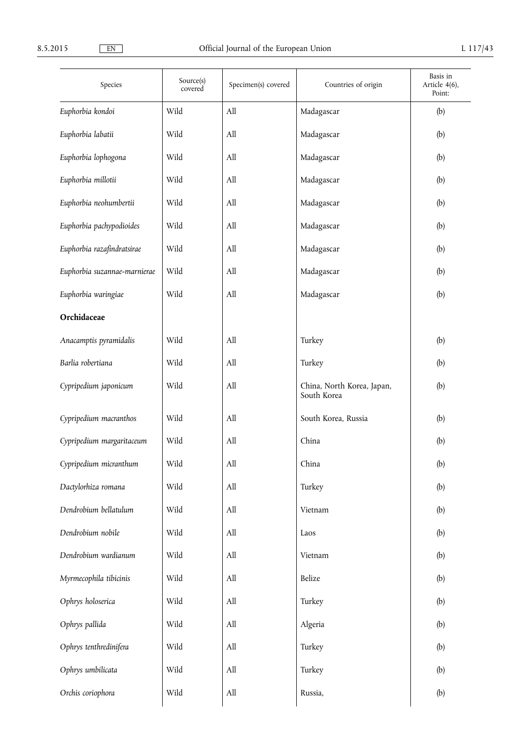| Species                      | Source(s)<br>covered | Specimen(s) covered | Countries of origin                       | Basis in<br>Article 4(6),<br>Point: |
|------------------------------|----------------------|---------------------|-------------------------------------------|-------------------------------------|
| Euphorbia kondoi             | Wild                 | All                 | Madagascar                                | (b)                                 |
| Euphorbia labatii            | Wild                 | All                 | Madagascar                                | (b)                                 |
| Euphorbia lophogona          | Wild                 | All                 | Madagascar                                | (b)                                 |
| Euphorbia millotii           | Wild                 | All                 | Madagascar                                | (b)                                 |
| Euphorbia neohumbertii       | Wild                 | All                 | Madagascar                                | (b)                                 |
| Euphorbia pachypodioides     | Wild                 | All                 | Madagascar                                | (b)                                 |
| Euphorbia razafindratsirae   | Wild                 | All                 | Madagascar                                | (b)                                 |
| Euphorbia suzannae-marnierae | Wild                 | All                 | Madagascar                                | (b)                                 |
| Euphorbia waringiae          | Wild                 | All                 | Madagascar                                | (b)                                 |
| Orchidaceae                  |                      |                     |                                           |                                     |
| Anacamptis pyramidalis       | Wild                 | All                 | Turkey                                    | (b)                                 |
| Barlia robertiana            | Wild                 | All                 | Turkey                                    | (b)                                 |
| Cypripedium japonicum        | Wild                 | All                 | China, North Korea, Japan,<br>South Korea | (b)                                 |
| Cypripedium macranthos       | Wild                 | All                 | South Korea, Russia                       | (b)                                 |
| Cypripedium margaritaceum    | Wild                 | All                 | China                                     | (b)                                 |
| Cypripedium micranthum       | Wild                 | All                 | China                                     | (b)                                 |
| Dactylorhiza romana          | Wild                 | All                 | Turkey                                    | (b)                                 |
| Dendrobium bellatulum        | Wild                 | All                 | Vietnam                                   | (b)                                 |
| Dendrobium nobile            | Wild                 | All                 | Laos                                      | (b)                                 |
| Dendrobium wardianum         | Wild                 | All                 | Vietnam                                   | (b)                                 |
| Myrmecophila tibicinis       | Wild                 | All                 | Belize                                    | (b)                                 |
| Ophrys holoserica            | Wild                 | All                 | Turkey                                    | (b)                                 |
| Ophrys pallida               | Wild                 | All                 | Algeria                                   | (b)                                 |
| Ophrys tenthredinifera       | Wild                 | All                 | Turkey                                    | (b)                                 |
| Ophrys umbilicata            | Wild                 | All                 | Turkey                                    | (b)                                 |
| Orchis coriophora            | Wild                 | All                 | Russia,                                   | (b)                                 |